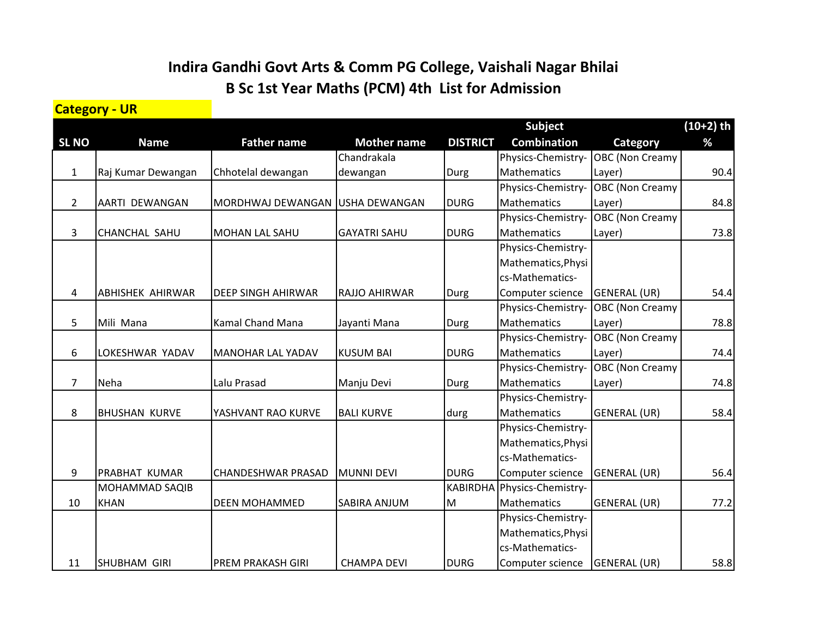## **Indira Gandhi Govt Arts & Comm PG College, Vaishali Nagar Bhilai B Sc 1st Year Maths (PCM) 4th List for Admission**

## **Category - UR**

|                |                         |                                 |                     | <b>Subject</b>  |                    |                        | $(10+2)$ th |
|----------------|-------------------------|---------------------------------|---------------------|-----------------|--------------------|------------------------|-------------|
| <b>SL NO</b>   | <b>Name</b>             | <b>Father name</b>              | <b>Mother name</b>  | <b>DISTRICT</b> | <b>Combination</b> | Category               | %           |
|                |                         |                                 | Chandrakala         |                 | Physics-Chemistry- | OBC (Non Creamy)       |             |
| $\mathbf{1}$   | Raj Kumar Dewangan      | Chhotelal dewangan              | dewangan            | Durg            | Mathematics        | Layer)                 | 90.4        |
|                |                         |                                 |                     |                 | Physics-Chemistry- | <b>OBC</b> (Non Creamy |             |
| $\overline{2}$ | AARTI DEWANGAN          | MORDHWAJ DEWANGAN USHA DEWANGAN |                     | <b>DURG</b>     | <b>Mathematics</b> | Layer)                 | 84.8        |
|                |                         |                                 |                     |                 | Physics-Chemistry- | <b>OBC</b> (Non Creamy |             |
| 3              | CHANCHAL SAHU           | <b>MOHAN LAL SAHU</b>           | <b>GAYATRI SAHU</b> | <b>DURG</b>     | Mathematics        | Layer)                 | 73.8        |
|                |                         |                                 |                     |                 | Physics-Chemistry- |                        |             |
|                |                         |                                 |                     |                 | Mathematics, Physi |                        |             |
|                |                         |                                 |                     |                 | cs-Mathematics-    |                        |             |
| 4              | <b>ABHISHEK AHIRWAR</b> | <b>DEEP SINGH AHIRWAR</b>       | RAJJO AHIRWAR       | Durg            | Computer science   | GENERAL (UR)           | 54.4        |
|                |                         |                                 |                     |                 | Physics-Chemistry- | <b>OBC</b> (Non Creamy |             |
| 5              | Mili Mana               | Kamal Chand Mana                | Jayanti Mana        | Durg            | Mathematics        | Layer)                 | 78.8        |
|                |                         |                                 |                     |                 | Physics-Chemistry- | OBC (Non Creamy        |             |
| 6              | LOKESHWAR YADAV         | <b>MANOHAR LAL YADAV</b>        | <b>KUSUM BAI</b>    | <b>DURG</b>     | Mathematics        | Layer)                 | 74.4        |
|                |                         |                                 |                     |                 | Physics-Chemistry- | <b>OBC</b> (Non Creamy |             |
| $\overline{7}$ | Neha                    | Lalu Prasad                     | Manju Devi          | Durg            | <b>Mathematics</b> | Layer)                 | 74.8        |
|                |                         |                                 |                     |                 | Physics-Chemistry- |                        |             |
| 8              | <b>BHUSHAN KURVE</b>    | YASHVANT RAO KURVE              | <b>BALI KURVE</b>   | durg            | <b>Mathematics</b> | <b>GENERAL (UR)</b>    | 58.4        |
|                |                         |                                 |                     |                 | Physics-Chemistry- |                        |             |
|                |                         |                                 |                     |                 | Mathematics, Physi |                        |             |
|                |                         |                                 |                     |                 | cs-Mathematics-    |                        |             |
| 9              | <b>PRABHAT KUMAR</b>    | <b>CHANDESHWAR PRASAD</b>       | <b>MUNNI DEVI</b>   | <b>DURG</b>     | Computer science   | <b>GENERAL (UR)</b>    | 56.4        |
|                | <b>MOHAMMAD SAQIB</b>   |                                 |                     | <b>KABIRDHA</b> | Physics-Chemistry- |                        |             |
| 10             | <b>KHAN</b>             | <b>DEEN MOHAMMED</b>            | SABIRA ANJUM        | M               | Mathematics        | <b>GENERAL (UR)</b>    | 77.2        |
|                |                         |                                 |                     |                 | Physics-Chemistry- |                        |             |
|                |                         |                                 |                     |                 | Mathematics, Physi |                        |             |
|                |                         |                                 |                     |                 | cs-Mathematics-    |                        |             |
| 11             | <b>SHUBHAM GIRI</b>     | <b>PREM PRAKASH GIRI</b>        | <b>CHAMPA DEVI</b>  | <b>DURG</b>     | Computer science   | <b>GENERAL (UR)</b>    | 58.8        |